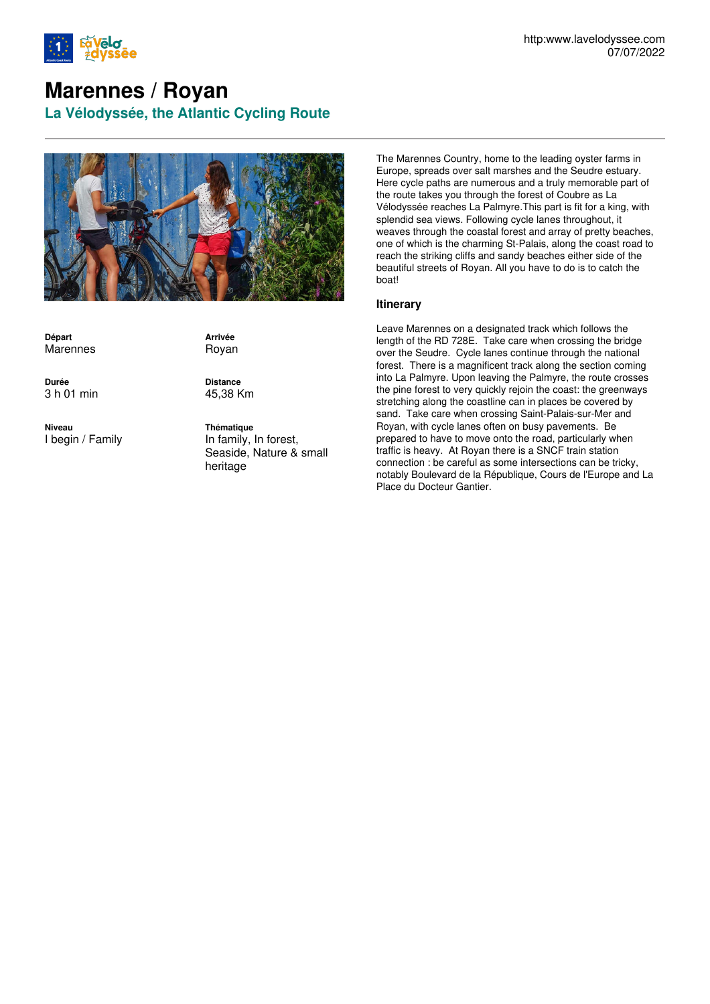

## **Marennes / Royan**

**La Vélodyssée, the Atlantic Cycling Route**



**Départ** Marennes

**Arrivée** Royan

**Durée** 3 h 01 min

**Niveau** I begin / Family

**Distance** 45,38 Km

**Thématique** In family, In forest, Seaside, Nature & small heritage

The Marennes Country, home to the leading oyster farms in Europe, spreads over salt marshes and the Seudre estuary. Here cycle paths are numerous and a truly memorable part of the route takes you through the forest of Coubre as La Vélodyssée reaches La Palmyre.This part is fit for a king, with splendid sea views. Following cycle lanes throughout, it weaves through the coastal forest and array of pretty beaches, one of which is the charming St-Palais, along the coast road to reach the striking cliffs and sandy beaches either side of the beautiful streets of Royan. All you have to do is to catch the boat!

## **Itinerary**

Leave Marennes on a designated track which follows the length of the RD 728E. Take care when crossing the bridge over the Seudre. Cycle lanes continue through the national forest. There is a magnificent track along the section coming into La Palmyre. Upon leaving the Palmyre, the route crosses the pine forest to very quickly rejoin the coast: the greenways stretching along the coastline can in places be covered by sand. Take care when crossing Saint-Palais-sur-Mer and Royan, with cycle lanes often on busy pavements. Be prepared to have to move onto the road, particularly when traffic is heavy. At Royan there is a SNCF train station connection : be careful as some intersections can be tricky, notably Boulevard de la République, Cours de l'Europe and La Place du Docteur Gantier.